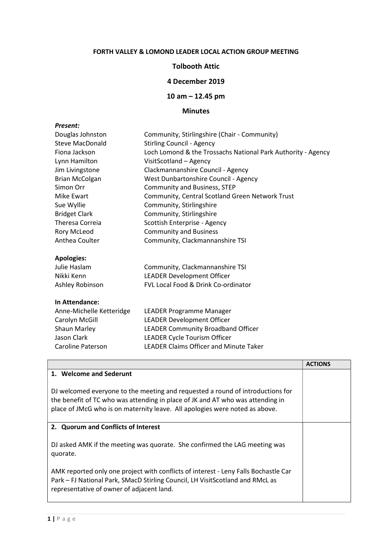# FORTH VALLEY & LOMOND LEADER LOCAL ACTION GROUP MEETING

# Tolbooth Attic

# 4 December 2019

10 am – 12.45 pm

# Minutes

#### Present:

| Douglas Johnston       | Community, Stirlingshire (Chair - Community)                 |
|------------------------|--------------------------------------------------------------|
| <b>Steve MacDonald</b> | <b>Stirling Council - Agency</b>                             |
| Fiona Jackson          | Loch Lomond & the Trossachs National Park Authority - Agency |
| Lynn Hamilton          | VisitScotland - Agency                                       |
| Jim Livingstone        | Clackmannanshire Council - Agency                            |
| <b>Brian McColgan</b>  | West Dunbartonshire Council - Agency                         |
| Simon Orr              | <b>Community and Business, STEP</b>                          |
| Mike Ewart             | Community, Central Scotland Green Network Trust              |
| Sue Wyllie             | Community, Stirlingshire                                     |
| <b>Bridget Clark</b>   | Community, Stirlingshire                                     |
| Theresa Correia        | Scottish Enterprise - Agency                                 |
| Rory McLeod            | <b>Community and Business</b>                                |
| Anthea Coulter         | Community, Clackmannanshire TSI                              |
| <b>Apologies:</b>      |                                                              |
| Julie Haslam           | Community, Clackmannanshire TSI                              |
| Nikki Kenn             | <b>LEADER Development Officer</b>                            |

| Ashley Robinson | FVL Local Food & Drink Co-ordinator |
|-----------------|-------------------------------------|

### In Attendance:

| LEADER Programme Manager                      |
|-----------------------------------------------|
| <b>LEADER Development Officer</b>             |
| <b>LEADER Community Broadband Officer</b>     |
| <b>LEADER Cycle Tourism Officer</b>           |
| <b>LEADER Claims Officer and Minute Taker</b> |
|                                               |

|                                                                                                                                                                                                                                                 | <b>ACTIONS</b> |
|-------------------------------------------------------------------------------------------------------------------------------------------------------------------------------------------------------------------------------------------------|----------------|
| 1. Welcome and Sederunt                                                                                                                                                                                                                         |                |
| DJ welcomed everyone to the meeting and requested a round of introductions for<br>the benefit of TC who was attending in place of JK and AT who was attending in<br>place of JMcG who is on maternity leave. All apologies were noted as above. |                |
| 2. Quorum and Conflicts of Interest                                                                                                                                                                                                             |                |
| DJ asked AMK if the meeting was quorate. She confirmed the LAG meeting was<br>quorate.                                                                                                                                                          |                |
| AMK reported only one project with conflicts of interest - Leny Falls Bochastle Car<br>Park - FJ National Park, SMacD Stirling Council, LH VisitScotland and RMcL as<br>representative of owner of adjacent land.                               |                |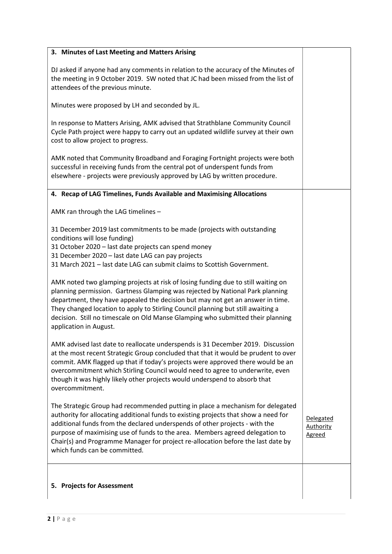| 3. Minutes of Last Meeting and Matters Arising                                                                                                                                                                                                                                                                                                                                                                                                            |                                         |
|-----------------------------------------------------------------------------------------------------------------------------------------------------------------------------------------------------------------------------------------------------------------------------------------------------------------------------------------------------------------------------------------------------------------------------------------------------------|-----------------------------------------|
| DJ asked if anyone had any comments in relation to the accuracy of the Minutes of<br>the meeting in 9 October 2019. SW noted that JC had been missed from the list of<br>attendees of the previous minute.                                                                                                                                                                                                                                                |                                         |
| Minutes were proposed by LH and seconded by JL.                                                                                                                                                                                                                                                                                                                                                                                                           |                                         |
| In response to Matters Arising, AMK advised that Strathblane Community Council<br>Cycle Path project were happy to carry out an updated wildlife survey at their own<br>cost to allow project to progress.                                                                                                                                                                                                                                                |                                         |
| AMK noted that Community Broadband and Foraging Fortnight projects were both<br>successful in receiving funds from the central pot of underspent funds from<br>elsewhere - projects were previously approved by LAG by written procedure.                                                                                                                                                                                                                 |                                         |
| 4. Recap of LAG Timelines, Funds Available and Maximising Allocations                                                                                                                                                                                                                                                                                                                                                                                     |                                         |
| AMK ran through the LAG timelines -                                                                                                                                                                                                                                                                                                                                                                                                                       |                                         |
| 31 December 2019 last commitments to be made (projects with outstanding<br>conditions will lose funding)<br>31 October 2020 - last date projects can spend money<br>31 December 2020 - last date LAG can pay projects<br>31 March 2021 - last date LAG can submit claims to Scottish Government.                                                                                                                                                          |                                         |
| AMK noted two glamping projects at risk of losing funding due to still waiting on<br>planning permission. Gartness Glamping was rejected by National Park planning<br>department, they have appealed the decision but may not get an answer in time.<br>They changed location to apply to Stirling Council planning but still awaiting a<br>decision. Still no timescale on Old Manse Glamping who submitted their planning<br>application in August.     |                                         |
| AMK advised last date to reallocate underspends is 31 December 2019. Discussion<br>at the most recent Strategic Group concluded that that it would be prudent to over<br>commit. AMK flagged up that if today's projects were approved there would be an<br>overcommitment which Stirling Council would need to agree to underwrite, even<br>though it was highly likely other projects would underspend to absorb that<br>overcommitment.                |                                         |
| The Strategic Group had recommended putting in place a mechanism for delegated<br>authority for allocating additional funds to existing projects that show a need for<br>additional funds from the declared underspends of other projects - with the<br>purpose of maximising use of funds to the area. Members agreed delegation to<br>Chair(s) and Programme Manager for project re-allocation before the last date by<br>which funds can be committed. | Delegated<br>Authority<br><b>Agreed</b> |
| 5. Projects for Assessment                                                                                                                                                                                                                                                                                                                                                                                                                                |                                         |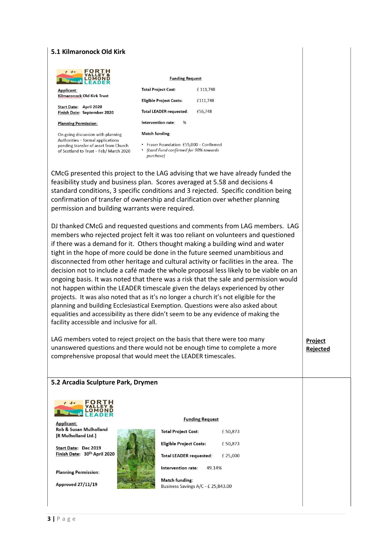#### 5.1 Kilmaronock Old Kirk

|            | FORTH<br><b>VALLEY &amp;</b><br><b>LOMOND</b><br><b>FADER</b> |
|------------|---------------------------------------------------------------|
| Applicant: |                                                               |

**Kilmaronock Old Kirk Trust** 

Start Date: April 2020 Finish Date: September 2020

**Planning Permission:** 

On-going discussion with planning Authorities - formal applications pending transfer of asset from Church of Scotland to Trust - Feb/ March 2020

| <b>Total Project Cost:</b>     | £111,748 |
|--------------------------------|----------|
| <b>Eligible Project Costs:</b> | £111,748 |
| <b>Total LEADER requested:</b> | £56.748  |
| Intervention rate:<br>%        |          |

**Funding Request** 

#### **Match funding:**

• Fraser Foundation £55,000 - Confirmed • (Land Fund confirmed for 90% towards purchasel

CMcG presented this project to the LAG advising that we have already funded the feasibility study and business plan. Scores averaged at 5.58 and decisions 4 standard conditions, 3 specific conditions and 3 rejected. Specific condition being confirmation of transfer of ownership and clarification over whether planning permission and building warrants were required.

DJ thanked CMcG and requested questions and comments from LAG members. LAG members who rejected project felt it was too reliant on volunteers and questioned if there was a demand for it. Others thought making a building wind and water tight in the hope of more could be done in the future seemed unambitious and disconnected from other heritage and cultural activity or facilities in the area. The decision not to include a café made the whole proposal less likely to be viable on an ongoing basis. It was noted that there was a risk that the sale and permission would not happen within the LEADER timescale given the delays experienced by other projects. It was also noted that as it's no longer a church it's not eligible for the planning and building Ecclesiastical Exemption. Questions were also asked about equalities and accessibility as there didn't seem to be any evidence of making the facility accessible and inclusive for all.

LAG members voted to reject project on the basis that there were too many unanswered questions and there would not be enough time to complete a more comprehensive proposal that would meet the LEADER timescales.

**Project** Rejected

#### 5.2 Arcadia Sculpture Park, Drymen



Applicant: Rob & Susan Mulholland [R Mulholland Ltd.]

Start Date: Dec 2019 Finish Date: 30th April 2020

**Planning Permission:** 

**Approved 27/11/19** 

#### **Funding Request**

| <b>Total Project Cost:</b>                           | £50,873 |
|------------------------------------------------------|---------|
| <b>Eligible Project Costs:</b>                       | £50,873 |
| <b>Total LEADER requested:</b>                       | £25,000 |
| Intervention rate:                                   | 49.14%  |
| Match funding:<br>Business Savings A/C - £ 25,843.00 |         |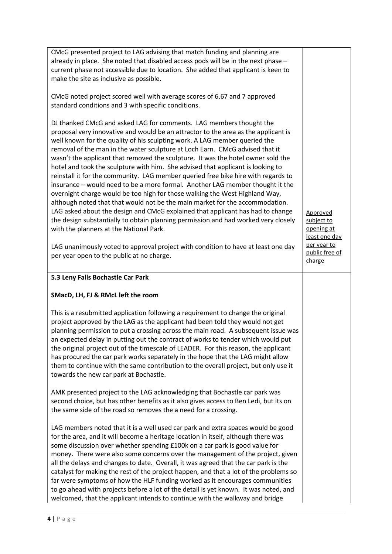CMcG presented project to LAG advising that match funding and planning are already in place. She noted that disabled access pods will be in the next phase – current phase not accessible due to location. She added that applicant is keen to make the site as inclusive as possible.

CMcG noted project scored well with average scores of 6.67 and 7 approved standard conditions and 3 with specific conditions.

DJ thanked CMcG and asked LAG for comments. LAG members thought the proposal very innovative and would be an attractor to the area as the applicant is well known for the quality of his sculpting work. A LAG member queried the removal of the man in the water sculpture at Loch Earn. CMcG advised that it wasn't the applicant that removed the sculpture. It was the hotel owner sold the hotel and took the sculpture with him. She advised that applicant is looking to reinstall it for the community. LAG member queried free bike hire with regards to insurance – would need to be a more formal. Another LAG member thought it the overnight charge would be too high for those walking the West Highland Way, although noted that that would not be the main market for the accommodation. LAG asked about the design and CMcG explained that applicant has had to change the design substantially to obtain planning permission and had worked very closely with the planners at the National Park.

LAG unanimously voted to approval project with condition to have at least one day per year open to the public at no charge.

Approved subject to opening at least one day per year to public free of charge

### 5.3 Leny Falls Bochastle Car Park

#### SMacD, LH, FJ & RMcL left the room

This is a resubmitted application following a requirement to change the original project approved by the LAG as the applicant had been told they would not get planning permission to put a crossing across the main road. A subsequent issue was an expected delay in putting out the contract of works to tender which would put the original project out of the timescale of LEADER. For this reason, the applicant has procured the car park works separately in the hope that the LAG might allow them to continue with the same contribution to the overall project, but only use it towards the new car park at Bochastle.

AMK presented project to the LAG acknowledging that Bochastle car park was second choice, but has other benefits as it also gives access to Ben Ledi, but its on the same side of the road so removes the a need for a crossing.

LAG members noted that it is a well used car park and extra spaces would be good for the area, and it will become a heritage location in itself, although there was some discussion over whether spending £100k on a car park is good value for money. There were also some concerns over the management of the project, given all the delays and changes to date. Overall, it was agreed that the car park is the catalyst for making the rest of the project happen, and that a lot of the problems so far were symptoms of how the HLF funding worked as it encourages communities to go ahead with projects before a lot of the detail is yet known. It was noted, and welcomed, that the applicant intends to continue with the walkway and bridge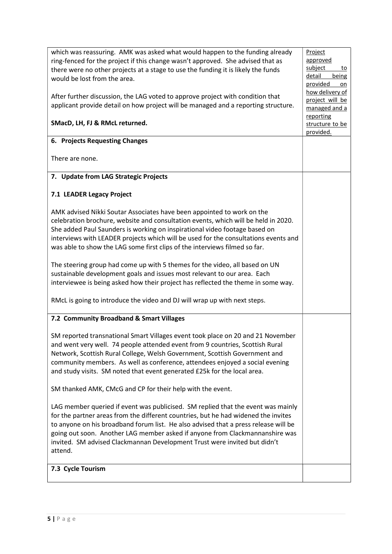| which was reassuring. AMK was asked what would happen to the funding already<br>ring-fenced for the project if this change wasn't approved. She advised that as<br>there were no other projects at a stage to use the funding it is likely the funds<br>would be lost from the area.<br>After further discussion, the LAG voted to approve project with condition that<br>applicant provide detail on how project will be managed and a reporting structure.<br>SMacD, LH, FJ & RMcL returned.                                                                                                                                                                                                                                                                                                                                                                                                                    | Project<br><u>approved</u><br>subject<br>to<br>detail<br>being<br>provided<br>on<br>how delivery of<br>project will be<br>managed and a<br>reporting<br>structure to be |
|-------------------------------------------------------------------------------------------------------------------------------------------------------------------------------------------------------------------------------------------------------------------------------------------------------------------------------------------------------------------------------------------------------------------------------------------------------------------------------------------------------------------------------------------------------------------------------------------------------------------------------------------------------------------------------------------------------------------------------------------------------------------------------------------------------------------------------------------------------------------------------------------------------------------|-------------------------------------------------------------------------------------------------------------------------------------------------------------------------|
| 6. Projects Requesting Changes                                                                                                                                                                                                                                                                                                                                                                                                                                                                                                                                                                                                                                                                                                                                                                                                                                                                                    | provided.                                                                                                                                                               |
| There are none.                                                                                                                                                                                                                                                                                                                                                                                                                                                                                                                                                                                                                                                                                                                                                                                                                                                                                                   |                                                                                                                                                                         |
| 7. Update from LAG Strategic Projects                                                                                                                                                                                                                                                                                                                                                                                                                                                                                                                                                                                                                                                                                                                                                                                                                                                                             |                                                                                                                                                                         |
| 7.1 LEADER Legacy Project                                                                                                                                                                                                                                                                                                                                                                                                                                                                                                                                                                                                                                                                                                                                                                                                                                                                                         |                                                                                                                                                                         |
| AMK advised Nikki Soutar Associates have been appointed to work on the<br>celebration brochure, website and consultation events, which will be held in 2020.<br>She added Paul Saunders is working on inspirational video footage based on<br>interviews with LEADER projects which will be used for the consultations events and<br>was able to show the LAG some first clips of the interviews filmed so far.<br>The steering group had come up with 5 themes for the video, all based on UN<br>sustainable development goals and issues most relevant to our area. Each<br>interviewee is being asked how their project has reflected the theme in some way.                                                                                                                                                                                                                                                   |                                                                                                                                                                         |
| RMcL is going to introduce the video and DJ will wrap up with next steps.                                                                                                                                                                                                                                                                                                                                                                                                                                                                                                                                                                                                                                                                                                                                                                                                                                         |                                                                                                                                                                         |
| 7.2 Community Broadband & Smart Villages                                                                                                                                                                                                                                                                                                                                                                                                                                                                                                                                                                                                                                                                                                                                                                                                                                                                          |                                                                                                                                                                         |
| SM reported transnational Smart Villages event took place on 20 and 21 November<br>and went very well. 74 people attended event from 9 countries, Scottish Rural<br>Network, Scottish Rural College, Welsh Government, Scottish Government and<br>community members. As well as conference, attendees enjoyed a social evening<br>and study visits. SM noted that event generated £25k for the local area.<br>SM thanked AMK, CMcG and CP for their help with the event.<br>LAG member queried if event was publicised. SM replied that the event was mainly<br>for the partner areas from the different countries, but he had widened the invites<br>to anyone on his broadband forum list. He also advised that a press release will be<br>going out soon. Another LAG member asked if anyone from Clackmannanshire was<br>invited. SM advised Clackmannan Development Trust were invited but didn't<br>attend. |                                                                                                                                                                         |
| 7.3 Cycle Tourism                                                                                                                                                                                                                                                                                                                                                                                                                                                                                                                                                                                                                                                                                                                                                                                                                                                                                                 |                                                                                                                                                                         |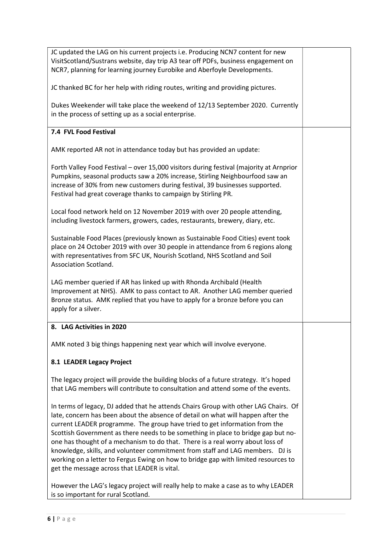| JC updated the LAG on his current projects i.e. Producing NCN7 content for new                                                                                                                                                                                                                                                                                                                                                                                                                                                                                                                                                                      |  |
|-----------------------------------------------------------------------------------------------------------------------------------------------------------------------------------------------------------------------------------------------------------------------------------------------------------------------------------------------------------------------------------------------------------------------------------------------------------------------------------------------------------------------------------------------------------------------------------------------------------------------------------------------------|--|
| VisitScotland/Sustrans website, day trip A3 tear off PDFs, business engagement on                                                                                                                                                                                                                                                                                                                                                                                                                                                                                                                                                                   |  |
| NCR7, planning for learning journey Eurobike and Aberfoyle Developments.                                                                                                                                                                                                                                                                                                                                                                                                                                                                                                                                                                            |  |
| JC thanked BC for her help with riding routes, writing and providing pictures.                                                                                                                                                                                                                                                                                                                                                                                                                                                                                                                                                                      |  |
| Dukes Weekender will take place the weekend of 12/13 September 2020. Currently<br>in the process of setting up as a social enterprise.                                                                                                                                                                                                                                                                                                                                                                                                                                                                                                              |  |
| 7.4 FVL Food Festival                                                                                                                                                                                                                                                                                                                                                                                                                                                                                                                                                                                                                               |  |
|                                                                                                                                                                                                                                                                                                                                                                                                                                                                                                                                                                                                                                                     |  |
| AMK reported AR not in attendance today but has provided an update:                                                                                                                                                                                                                                                                                                                                                                                                                                                                                                                                                                                 |  |
| Forth Valley Food Festival - over 15,000 visitors during festival (majority at Arnprior<br>Pumpkins, seasonal products saw a 20% increase, Stirling Neighbourfood saw an<br>increase of 30% from new customers during festival, 39 businesses supported.<br>Festival had great coverage thanks to campaign by Stirling PR.                                                                                                                                                                                                                                                                                                                          |  |
| Local food network held on 12 November 2019 with over 20 people attending,<br>including livestock farmers, growers, cades, restaurants, brewery, diary, etc.                                                                                                                                                                                                                                                                                                                                                                                                                                                                                        |  |
| Sustainable Food Places (previously known as Sustainable Food Cities) event took<br>place on 24 October 2019 with over 30 people in attendance from 6 regions along<br>with representatives from SFC UK, Nourish Scotland, NHS Scotland and Soil<br>Association Scotland.                                                                                                                                                                                                                                                                                                                                                                           |  |
| LAG member queried if AR has linked up with Rhonda Archibald (Health<br>Improvement at NHS). AMK to pass contact to AR. Another LAG member queried<br>Bronze status. AMK replied that you have to apply for a bronze before you can<br>apply for a silver.                                                                                                                                                                                                                                                                                                                                                                                          |  |
| 8. LAG Activities in 2020                                                                                                                                                                                                                                                                                                                                                                                                                                                                                                                                                                                                                           |  |
| AMK noted 3 big things happening next year which will involve everyone.                                                                                                                                                                                                                                                                                                                                                                                                                                                                                                                                                                             |  |
| 8.1 LEADER Legacy Project                                                                                                                                                                                                                                                                                                                                                                                                                                                                                                                                                                                                                           |  |
| The legacy project will provide the building blocks of a future strategy. It's hoped<br>that LAG members will contribute to consultation and attend some of the events.                                                                                                                                                                                                                                                                                                                                                                                                                                                                             |  |
| In terms of legacy, DJ added that he attends Chairs Group with other LAG Chairs. Of<br>late, concern has been about the absence of detail on what will happen after the<br>current LEADER programme. The group have tried to get information from the<br>Scottish Government as there needs to be something in place to bridge gap but no-<br>one has thought of a mechanism to do that. There is a real worry about loss of<br>knowledge, skills, and volunteer commitment from staff and LAG members. DJ is<br>working on a letter to Fergus Ewing on how to bridge gap with limited resources to<br>get the message across that LEADER is vital. |  |
| However the LAG's legacy project will really help to make a case as to why LEADER<br>is so important for rural Scotland.                                                                                                                                                                                                                                                                                                                                                                                                                                                                                                                            |  |